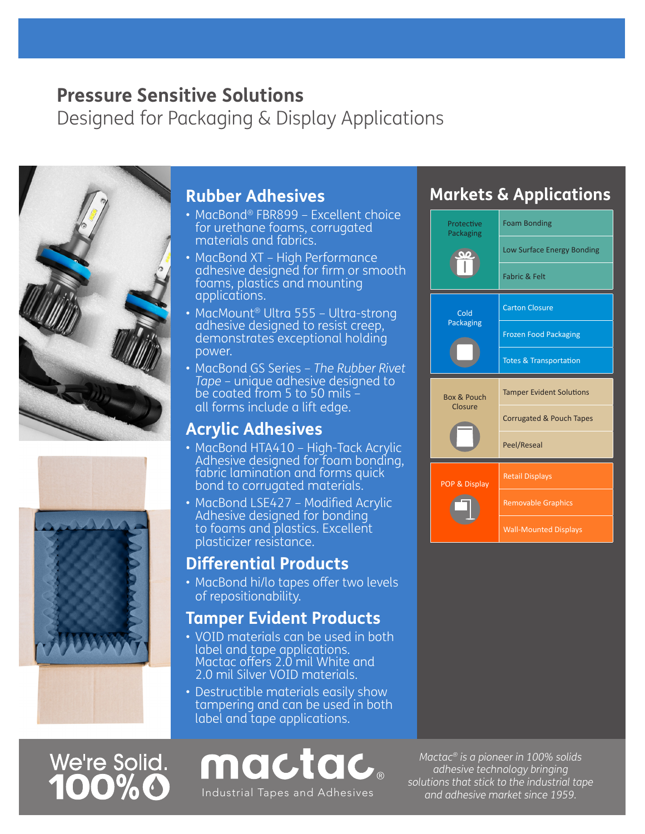## **Pressure Sensitive Solutions**

Designed for Packaging & Display Applications





#### **Rubber Adhesives**

- MacBond® FBR899 Excellent choice for urethane foams, corrugated materials and fabrics.
- MacBond XT High Performance adhesive designed for firm or smooth foams, plastics and mounting applications.
- MacMount® Ultra 555 Ultra-strong adhesive designed to resist creep, demonstrates exceptional holding power.
- MacBond GS Series *The Rubber Rivet Tape* – unique adhesive designed to be coated from 5 to 50 mils – all forms include a lift edge.

#### **Acrylic Adhesives**

- MacBond HTA410 High-Tack Acrylic Adhesive designed for foam bonding, fabric lamination and forms quick bond to corrugated materials.
- MacBond LSE427 Modified Acrylic Adhesive designed for bonding to foams and plastics. Excellent plasticizer resistance.

#### **Differential Products**

• MacBond hi/lo tapes offer two levels of repositionability.

#### **Tamper Evident Products**

- VOID materials can be used in both label and tape applications. Mactac offers 2.0 mil White and 2.0 mil Silver VOID materials.
- Destructible materials easily show<br>tampering and can be use<u>d in both</u> label and tape applications.

# We're Solid.

# mactac

Industrial Tapes and Adhesives and and adhesive market since 1959.

### **Markets & Applications**



*Mactac® is a pioneer in 100% solids adhesive technology bringing solutions that stick to the industrial tape*